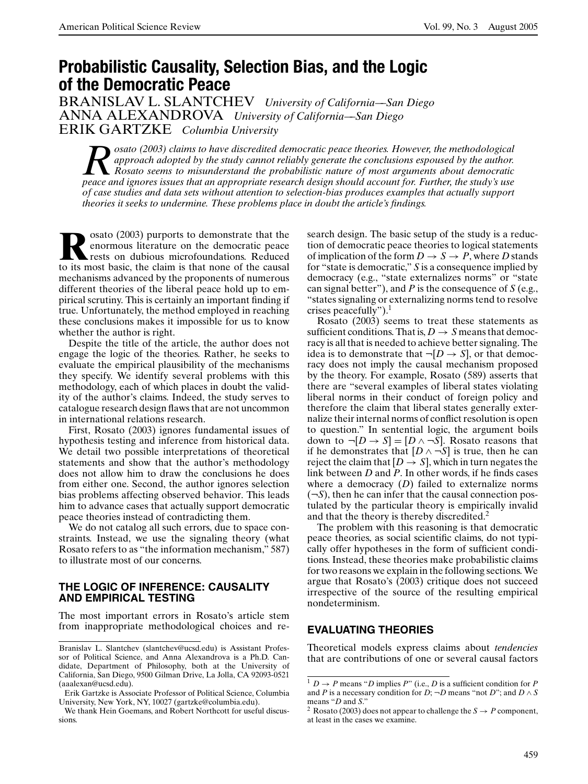# **Probabilistic Causality, Selection Bias, and the Logic of the Democratic Peace**

BRANISLAV L. SLANTCHEV *University of California—–San Diego* ANNA ALEXANDROVA *University of California—–San Diego* ERIK GARTZKE *Columbia University*

**R** *Cosato (2003) claims to have discredited democratic peace theories. However, the methodological approach adopted by the study cannot reliably generate the conclusions espoused by the author.<br>
<i>Rosato seems to misunder approach adopted by the study cannot reliably generate the conclusions espoused by the author. Rosato seems to misunderstand the probabilistic nature of most arguments about democratic peace and ignores issues that an appropriate research design should account for. Further, the study's use of case studies and data sets without attention to selection-bias produces examples that actually support theories it seeks to undermine. These problems place in doubt the article's findings.*

**Rosato** (2003) purports to demonstrate that the<br>enormous literature on the democratic peace<br>to its most basic, the claim is that none of the causal enormous literature on the democratic peace rests on dubious microfoundations. Reduced to its most basic, the claim is that none of the causal mechanisms advanced by the proponents of numerous different theories of the liberal peace hold up to empirical scrutiny. This is certainly an important finding if true. Unfortunately, the method employed in reaching these conclusions makes it impossible for us to know whether the author is right.

Despite the title of the article, the author does not engage the logic of the theories. Rather, he seeks to evaluate the empirical plausibility of the mechanisms they specify. We identify several problems with this methodology, each of which places in doubt the validity of the author's claims. Indeed, the study serves to catalogue research design flaws that are not uncommon in international relations research.

First, Rosato (2003) ignores fundamental issues of hypothesis testing and inference from historical data. We detail two possible interpretations of theoretical statements and show that the author's methodology does not allow him to draw the conclusions he does from either one. Second, the author ignores selection bias problems affecting observed behavior. This leads him to advance cases that actually support democratic peace theories instead of contradicting them.

We do not catalog all such errors, due to space constraints. Instead, we use the signaling theory (what Rosato refers to as "the information mechanism," 587) to illustrate most of our concerns.

### **THE LOGIC OF INFERENCE: CAUSALITY AND EMPIRICAL TESTING**

The most important errors in Rosato's article stem from inappropriate methodological choices and research design. The basic setup of the study is a reduction of democratic peace theories to logical statements of implication of the form  $D \rightarrow S \rightarrow P$ , where *D* stands for "state is democratic," *S* is a consequence implied by democracy (e.g., "state externalizes norms" or "state can signal better"), and *P* is the consequence of *S* (e.g., "states signaling or externalizing norms tend to resolve crises peacefully"). $<sup>1</sup>$ </sup>

Rosato (2003) seems to treat these statements as sufficient conditions. That is,  $D \rightarrow S$  means that democracy is all that is needed to achieve better signaling. The idea is to demonstrate that  $\neg$ [*D*  $\rightarrow$  *S*], or that democracy does not imply the causal mechanism proposed by the theory. For example, Rosato (589) asserts that there are "several examples of liberal states violating liberal norms in their conduct of foreign policy and therefore the claim that liberal states generally externalize their internal norms of conflict resolution is open to question." In sentential logic, the argument boils down to  $\neg[D \rightarrow S] = [D \land \neg S]$ . Rosato reasons that if he demonstrates that  $[D \wedge \neg S]$  is true, then he can reject the claim that  $[D \to S]$ , which in turn negates the link between *D* and *P*. In other words, if he finds cases where a democracy (*D*) failed to externalize norms  $(-S)$ , then he can infer that the causal connection postulated by the particular theory is empirically invalid and that the theory is thereby discredited.<sup>2</sup>

The problem with this reasoning is that democratic peace theories, as social scientific claims, do not typically offer hypotheses in the form of sufficient conditions. Instead, these theories make probabilistic claims for two reasons we explain in the following sections. We argue that Rosato's (2003) critique does not succeed irrespective of the source of the resulting empirical nondeterminism.

# **EVALUATING THEORIES**

Theoretical models express claims about *tendencies* that are contributions of one or several causal factors

Branislav L. Slantchev (slantchev@ucsd.edu) is Assistant Professor of Political Science, and Anna Alexandrova is a Ph.D. Candidate, Department of Philosophy, both at the University of California, San Diego, 9500 Gilman Drive, La Jolla, CA 92093-0521 (aaalexan@ucsd.edu).

Erik Gartzke is Associate Professor of Political Science, Columbia University, New York, NY, 10027 (gartzke@columbia.edu).

We thank Hein Goemans, and Robert Northcott for useful discussions.

 $\overline{1}$  *D*  $\rightarrow$  *P* means "*D* implies *P*" (i.e., *D* is a sufficient condition for *P* and *P* is a necessary condition for *D*;  $\neg D$  means "not *D*"; and *D*  $\land$  *S* means "*D* and *S*."

<sup>&</sup>lt;sup>2</sup> Rosato (2003) does not appear to challenge the  $S \rightarrow P$  component, at least in the cases we examine.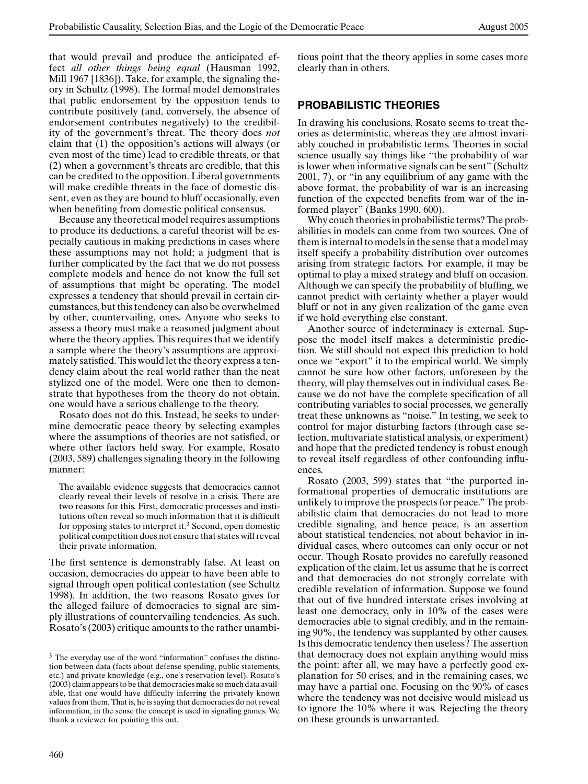that would prevail and produce the anticipated effect *all other things being equal* (Hausman 1992, Mill 1967 [1836]). Take, for example, the signaling theory in Schultz (1998). The formal model demonstrates that public endorsement by the opposition tends to contribute positively (and, conversely, the absence of endorsement contributes negatively) to the credibility of the government's threat. The theory does *not* claim that (1) the opposition's actions will always (or even most of the time) lead to credible threats, or that (2) when a government's threats are credible, that this can be credited to the opposition. Liberal governments will make credible threats in the face of domestic dissent, even as they are bound to bluff occasionally, even when benefiting from domestic political consensus.

Because any theoretical model requires assumptions to produce its deductions, a careful theorist will be especially cautious in making predictions in cases where these assumptions may not hold; a judgment that is further complicated by the fact that we do not possess complete models and hence do not know the full set of assumptions that might be operating. The model expresses a tendency that should prevail in certain circumstances, but this tendency can also be overwhelmed by other, countervailing, ones. Anyone who seeks to assess a theory must make a reasoned judgment about where the theory applies. This requires that we identify a sample where the theory's assumptions are approximately satisfied. This would let the theory express a tendency claim about the real world rather than the neat stylized one of the model. Were one then to demonstrate that hypotheses from the theory do not obtain, one would have a serious challenge to the theory.

Rosato does not do this. Instead, he seeks to undermine democratic peace theory by selecting examples where the assumptions of theories are not satisfied, or where other factors held sway. For example, Rosato (2003, 589) challenges signaling theory in the following manner:

The available evidence suggests that democracies cannot clearly reveal their levels of resolve in a crisis. There are two reasons for this. First, democratic processes and institutions often reveal so much information that it is difficult for opposing states to interpret it.<sup>3</sup> Second, open domestic political competition does not ensure that states will reveal their private information.

The first sentence is demonstrably false. At least on occasion, democracies do appear to have been able to signal through open political contestation (see Schultz 1998). In addition, the two reasons Rosato gives for the alleged failure of democracies to signal are simply illustrations of countervailing tendencies. As such, Rosato's (2003) critique amounts to the rather unambitious point that the theory applies in some cases more clearly than in others.

# **PROBABILISTIC THEORIES**

In drawing his conclusions, Rosato seems to treat theories as deterministic, whereas they are almost invariably couched in probabilistic terms. Theories in social science usually say things like "the probability of war is lower when informative signals can be sent" (Schultz 2001, 7), or "in any equilibrium of any game with the above format, the probability of war is an increasing function of the expected benefits from war of the informed player" (Banks 1990, 600).

Why couch theories in probabilistic terms? The probabilities in models can come from two sources. One of them is internal to models in the sense that a model may itself specify a probability distribution over outcomes arising from strategic factors. For example, it may be optimal to play a mixed strategy and bluff on occasion. Although we can specify the probability of bluffing, we cannot predict with certainty whether a player would bluff or not in any given realization of the game even if we hold everything else constant.

Another source of indeterminacy is external. Suppose the model itself makes a deterministic prediction. We still should not expect this prediction to hold once we "export" it to the empirical world. We simply cannot be sure how other factors, unforeseen by the theory, will play themselves out in individual cases. Because we do not have the complete specification of all contributing variables to social processes, we generally treat these unknowns as "noise." In testing, we seek to control for major disturbing factors (through case selection, multivariate statistical analysis, or experiment) and hope that the predicted tendency is robust enough to reveal itself regardless of other confounding influences.

Rosato (2003, 599) states that "the purported informational properties of democratic institutions are unlikely to improve the prospects for peace." The probabilistic claim that democracies do not lead to more credible signaling, and hence peace, is an assertion about statistical tendencies, not about behavior in individual cases, where outcomes can only occur or not occur. Though Rosato provides no carefully reasoned explication of the claim, let us assume that he is correct and that democracies do not strongly correlate with credible revelation of information. Suppose we found that out of five hundred interstate crises involving at least one democracy, only in 10% of the cases were democracies able to signal credibly, and in the remaining 90%, the tendency was supplanted by other causes. Is this democratic tendency then useless? The assertion that democracy does not explain anything would miss the point: after all, we may have a perfectly good explanation for 50 crises, and in the remaining cases, we may have a partial one. Focusing on the 90% of cases where the tendency was not decisive would mislead us to ignore the 10% where it was. Rejecting the theory on these grounds is unwarranted.

<sup>3</sup> The everyday use of the word "information" confuses the distinction between data (facts about defense spending, public statements, etc.) and private knowledge (e.g., one's reservation level). Rosato's (2003) claim appears to be that democracies make so much data available, that one would have difficulty inferring the privately known values from them. That is, he is saying that democracies do not reveal information, in the sense the concept is used in signaling games. We thank a reviewer for pointing this out.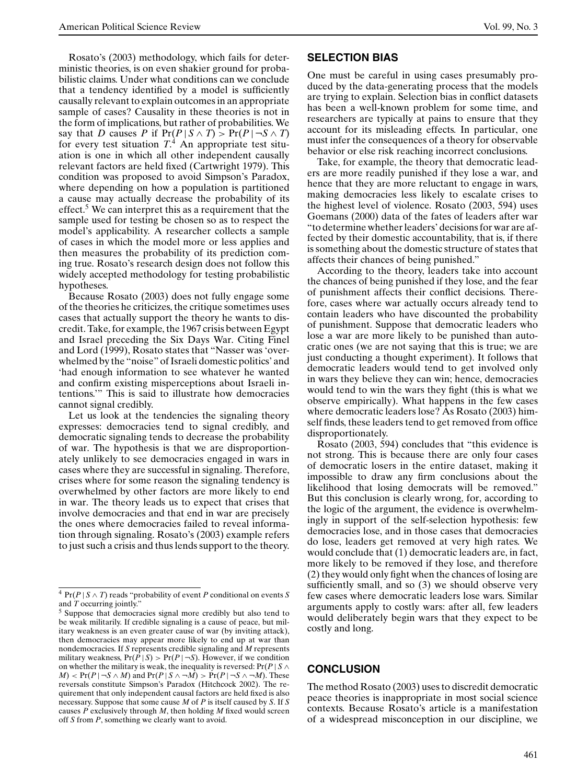Rosato's (2003) methodology, which fails for deterministic theories, is on even shakier ground for probabilistic claims. Under what conditions can we conclude that a tendency identified by a model is sufficiently causally relevant to explain outcomes in an appropriate sample of cases? Causality in these theories is not in the form of implications, but rather of probabilities. We say that *D* causes *P* if  $Pr(P | S \wedge T) > Pr(P | \neg S \wedge T)$ for every test situation  $T<sup>4</sup>$ . An appropriate test situation is one in which all other independent causally relevant factors are held fixed (Cartwright 1979). This condition was proposed to avoid Simpson's Paradox, where depending on how a population is partitioned a cause may actually decrease the probability of its effect.<sup>5</sup> We can interpret this as a requirement that the sample used for testing be chosen so as to respect the model's applicability. A researcher collects a sample of cases in which the model more or less applies and then measures the probability of its prediction coming true. Rosato's research design does not follow this widely accepted methodology for testing probabilistic hypotheses.

Because Rosato (2003) does not fully engage some of the theories he criticizes, the critique sometimes uses cases that actually support the theory he wants to discredit. Take, for example, the 1967 crisis between Egypt and Israel preceding the Six Days War. Citing Finel and Lord (1999), Rosato states that "Nasser was 'overwhelmed by the "noise" of Israeli domestic politics' and 'had enough information to see whatever he wanted and confirm existing misperceptions about Israeli intentions.'" This is said to illustrate how democracies cannot signal credibly.

Let us look at the tendencies the signaling theory expresses: democracies tend to signal credibly, and democratic signaling tends to decrease the probability of war. The hypothesis is that we are disproportionately unlikely to see democracies engaged in wars in cases where they are successful in signaling. Therefore, crises where for some reason the signaling tendency is overwhelmed by other factors are more likely to end in war. The theory leads us to expect that crises that involve democracies and that end in war are precisely the ones where democracies failed to reveal information through signaling. Rosato's (2003) example refers to just such a crisis and thus lends support to the theory.

## **SELECTION BIAS**

One must be careful in using cases presumably produced by the data-generating process that the models are trying to explain. Selection bias in conflict datasets has been a well-known problem for some time, and researchers are typically at pains to ensure that they account for its misleading effects. In particular, one must infer the consequences of a theory for observable behavior or else risk reaching incorrect conclusions.

Take, for example, the theory that democratic leaders are more readily punished if they lose a war, and hence that they are more reluctant to engage in wars, making democracies less likely to escalate crises to the highest level of violence. Rosato (2003, 594) uses Goemans (2000) data of the fates of leaders after war "to determine whether leaders' decisions for war are affected by their domestic accountability, that is, if there is something about the domestic structure of states that affects their chances of being punished."

According to the theory, leaders take into account the chances of being punished if they lose, and the fear of punishment affects their conflict decisions. Therefore, cases where war actually occurs already tend to contain leaders who have discounted the probability of punishment. Suppose that democratic leaders who lose a war are more likely to be punished than autocratic ones (we are not saying that this is true; we are just conducting a thought experiment). It follows that democratic leaders would tend to get involved only in wars they believe they can win; hence, democracies would tend to win the wars they fight (this is what we observe empirically). What happens in the few cases where democratic leaders lose? As Rosato (2003) himself finds, these leaders tend to get removed from office disproportionately.

Rosato (2003, 594) concludes that "this evidence is not strong. This is because there are only four cases of democratic losers in the entire dataset, making it impossible to draw any firm conclusions about the likelihood that losing democrats will be removed." But this conclusion is clearly wrong, for, according to the logic of the argument, the evidence is overwhelmingly in support of the self-selection hypothesis: few democracies lose, and in those cases that democracies do lose, leaders get removed at very high rates. We would conclude that (1) democratic leaders are, in fact, more likely to be removed if they lose, and therefore (2) they would only fight when the chances of losing are sufficiently small, and so (3) we should observe very few cases where democratic leaders lose wars. Similar arguments apply to costly wars: after all, few leaders would deliberately begin wars that they expect to be costly and long.

### **CONCLUSION**

The method Rosato (2003) uses to discredit democratic peace theories is inappropriate in most social science contexts. Because Rosato's article is a manifestation of a widespread misconception in our discipline, we

 $4$  Pr( $P \mid S \land T$ ) reads "probability of event *P* conditional on events *S* and *T* occurring jointly."

<sup>5</sup> Suppose that democracies signal more credibly but also tend to be weak militarily. If credible signaling is a cause of peace, but military weakness is an even greater cause of war (by inviting attack), then democracies may appear more likely to end up at war than nondemocracies. If *S* represents credible signaling and *M* represents military weakness,  $Pr(P|S) > Pr(P|\neg S)$ . However, if we condition on whether the military is weak, the inequality is reversed:  $Pr(P | S \wedge$ *M*) < Pr(*P* | ¬*S* ∧ *M*) and Pr(*P* | *S* ∧ ¬*M*) > Pr(*P* | ¬*S* ∧ ¬*M*). These reversals constitute Simpson's Paradox (Hitchcock 2002). The requirement that only independent causal factors are held fixed is also necessary. Suppose that some cause *M* of *P* is itself caused by *S*. If *S* causes *P* exclusively through *M*, then holding *M* fixed would screen off *S* from *P*, something we clearly want to avoid.